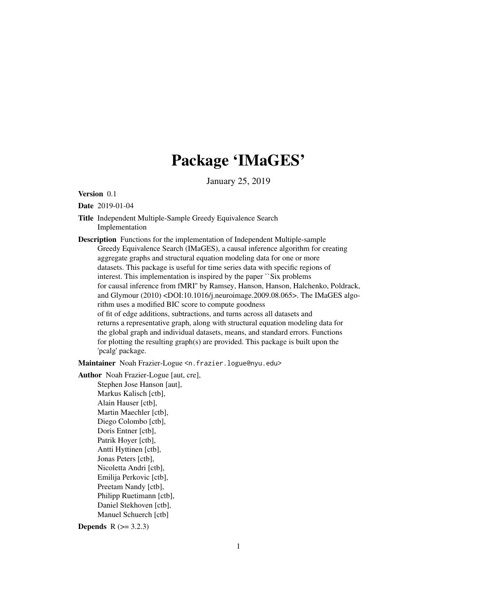## Package 'IMaGES'

January 25, 2019

#### Version 0.1

#### Date 2019-01-04

Title Independent Multiple-Sample Greedy Equivalence Search Implementation

Description Functions for the implementation of Independent Multiple-sample Greedy Equivalence Search (IMaGES), a causal inference algorithm for creating aggregate graphs and structural equation modeling data for one or more datasets. This package is useful for time series data with specific regions of interest. This implementation is inspired by the paper ``Six problems for causal inference from fMRI'' by Ramsey, Hanson, Hanson, Halchenko, Poldrack, and Glymour (2010) <DOI:10.1016/j.neuroimage.2009.08.065>. The IMaGES algorithm uses a modified BIC score to compute goodness of fit of edge additions, subtractions, and turns across all datasets and returns a representative graph, along with structural equation modeling data for the global graph and individual datasets, means, and standard errors. Functions for plotting the resulting graph(s) are provided. This package is built upon the 'pcalg' package.

Maintainer Noah Frazier-Logue <n.frazier.logue@nyu.edu>

Author Noah Frazier-Logue [aut, cre],

Stephen Jose Hanson [aut], Markus Kalisch [ctb], Alain Hauser [ctb], Martin Maechler [ctb], Diego Colombo [ctb], Doris Entner [ctb], Patrik Hoyer [ctb], Antti Hyttinen [ctb], Jonas Peters [ctb], Nicoletta Andri [ctb], Emilija Perkovic [ctb], Preetam Nandy [ctb], Philipp Ruetimann [ctb], Daniel Stekhoven [ctb], Manuel Schuerch [ctb]

**Depends** R  $(>= 3.2.3)$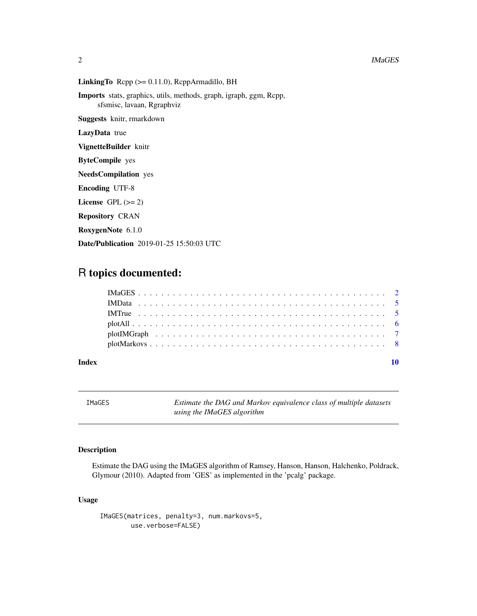<span id="page-1-0"></span>LinkingTo  $\text{Rcpp} (> = 0.11.0)$ ,  $\text{RcppArmadillo}$ , BH

Imports stats, graphics, utils, methods, graph, igraph, ggm, Rcpp, sfsmisc, lavaan, Rgraphviz

Suggests knitr, rmarkdown

LazyData true

VignetteBuilder knitr

ByteCompile yes

NeedsCompilation yes

Encoding UTF-8

License GPL  $(>= 2)$ 

Repository CRAN

RoxygenNote 6.1.0

Date/Publication 2019-01-25 15:50:03 UTC

### R topics documented:

#### $\blacksquare$

<span id="page-1-1"></span>IMaGES *Estimate the DAG and Markov equivalence class of multiple datasets using the IMaGES algorithm*

#### Description

Estimate the DAG using the IMaGES algorithm of Ramsey, Hanson, Hanson, Halchenko, Poldrack, Glymour (2010). Adapted from 'GES' as implemented in the 'pcalg' package.

#### Usage

```
IMaGES(matrices, penalty=3, num.markovs=5,
       use.verbose=FALSE)
```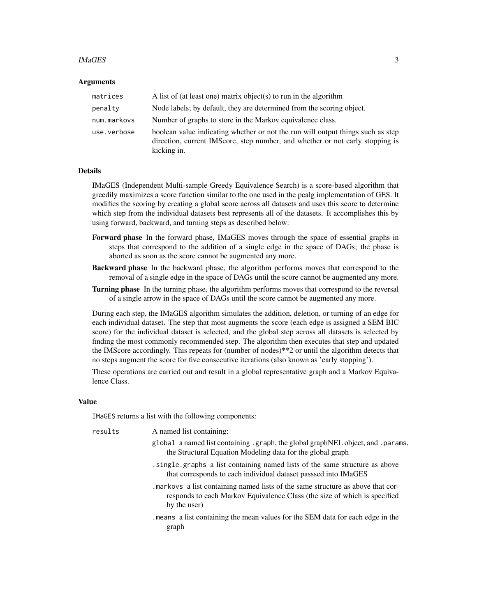#### IMaGES 3

#### Arguments

| matrices    | A list of (at least one) matrix object(s) to run in the algorithm                                                                                                               |  |
|-------------|---------------------------------------------------------------------------------------------------------------------------------------------------------------------------------|--|
| penalty     | Node labels; by default, they are determined from the scoring object.                                                                                                           |  |
| num.markovs | Number of graphs to store in the Markov equivalence class.                                                                                                                      |  |
| use.verbose | boolean value indicating whether or not the run will output things such as step<br>direction, current IMScore, step number, and whether or not early stopping is<br>kicking in. |  |

#### Details

IMaGES (Independent Multi-sample Greedy Equivalence Search) is a score-based algorithm that greedily maximizes a score function similar to the one used in the pcalg implementation of GES. It modifies the scoring by creating a global score across all datasets and uses this score to determine which step from the individual datasets best represents all of the datasets. It accomplishes this by using forward, backward, and turning steps as described below:

- Forward phase In the forward phase, IMaGES moves through the space of essential graphs in steps that correspond to the addition of a single edge in the space of DAGs; the phase is aborted as soon as the score cannot be augmented any more.
- Backward phase In the backward phase, the algorithm performs moves that correspond to the removal of a single edge in the space of DAGs until the score cannot be augmented any more.
- Turning phase In the turning phase, the algorithm performs moves that correspond to the reversal of a single arrow in the space of DAGs until the score cannot be augmented any more.

During each step, the IMaGES algorithm simulates the addition, deletion, or turning of an edge for each individual dataset. The step that most augments the score (each edge is assigned a SEM BIC score) for the individual dataset is selected, and the global step across all datasets is selected by finding the most commonly recommended step. The algorithm then executes that step and updated the IMScore accordingly. This repeats for (number of nodes)\*\*2 or until the algorithm detects that no steps augment the score for five consecutive iterations (also known as 'early stopping').

These operations are carried out and result in a global representative graph and a Markov Equivalence Class.

#### Value

IMaGES returns a list with the following components:

| results | A named list containing:                                                                                                                                                    |
|---------|-----------------------------------------------------------------------------------------------------------------------------------------------------------------------------|
|         | global a named list containing . graph, the global graphNEL object, and . params,<br>the Structural Equation Modeling data for the global graph                             |
|         | .single.graphs a list containing named lists of the same structure as above<br>that corresponds to each individual dataset passsed into IMaGES                              |
|         | markovs a list containing named lists of the same structure as above that cor-<br>responds to each Markov Equivalence Class (the size of which is specified<br>by the user) |
|         | means a list containing the mean values for the SEM data for each edge in the<br>graph                                                                                      |
|         |                                                                                                                                                                             |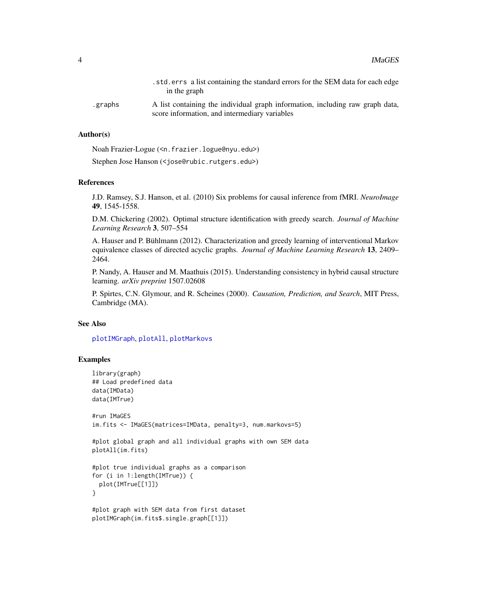<span id="page-3-0"></span>

|          | std. errs a list containing the standard errors for the SEM data for each edge.<br>in the graph                                |
|----------|--------------------------------------------------------------------------------------------------------------------------------|
| .graphs. | A list containing the individual graph information, including raw graph data,<br>score information, and intermediary variables |

#### Author(s)

Noah Frazier-Logue (<n.frazier.logue@nyu.edu>)

Stephen Jose Hanson (<jose@rubic.rutgers.edu>)

#### References

J.D. Ramsey, S.J. Hanson, et al. (2010) Six problems for causal inference from fMRI. *NeuroImage* 49, 1545-1558.

D.M. Chickering (2002). Optimal structure identification with greedy search. *Journal of Machine Learning Research* 3, 507–554

A. Hauser and P. Bühlmann (2012). Characterization and greedy learning of interventional Markov equivalence classes of directed acyclic graphs. *Journal of Machine Learning Research* 13, 2409– 2464.

P. Nandy, A. Hauser and M. Maathuis (2015). Understanding consistency in hybrid causal structure learning. *arXiv preprint* 1507.02608

P. Spirtes, C.N. Glymour, and R. Scheines (2000). *Causation, Prediction, and Search*, MIT Press, Cambridge (MA).

#### See Also

[plotIMGraph](#page-6-1), [plotAll](#page-5-1), [plotMarkovs](#page-7-1)

#### Examples

```
library(graph)
## Load predefined data
data(IMData)
data(IMTrue)
#run IMaGES
```

```
im.fits <- IMaGES(matrices=IMData, penalty=3, num.markovs=5)
```

```
#plot global graph and all individual graphs with own SEM data
plotAll(im.fits)
```

```
#plot true individual graphs as a comparison
for (i in 1:length(IMTrue)) {
 plot(IMTrue[[1]])
}
```

```
#plot graph with SEM data from first dataset
plotIMGraph(im.fits$.single.graph[[1]])
```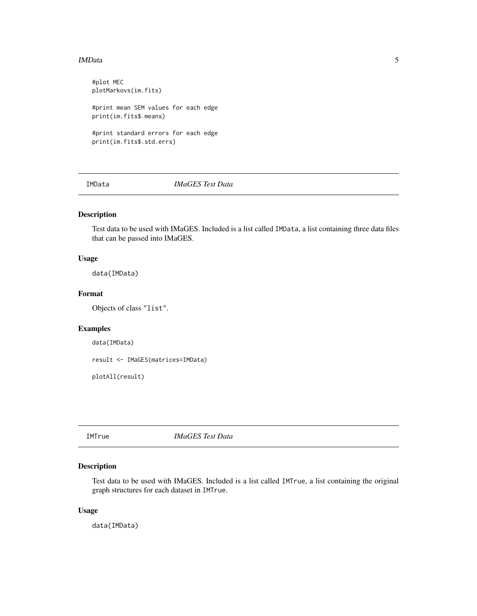#### <span id="page-4-0"></span>IMData 5

#plot MEC plotMarkovs(im.fits) #print mean SEM values for each edge print(im.fits\$.means) #print standard errors for each edge print(im.fits\$.std.errs)

IMData *IMaGES Test Data*

#### Description

Test data to be used with IMaGES. Included is a list called IMData, a list containing three data files that can be passed into IMaGES.

#### Usage

data(IMData)

#### Format

Objects of class "list".

#### Examples

```
data(IMData)
```
result <- IMaGES(matrices=IMData)

plotAll(result)

IMTrue *IMaGES Test Data*

#### Description

Test data to be used with IMaGES. Included is a list called IMTrue, a list containing the original graph structures for each dataset in IMTrue.

#### Usage

data(IMData)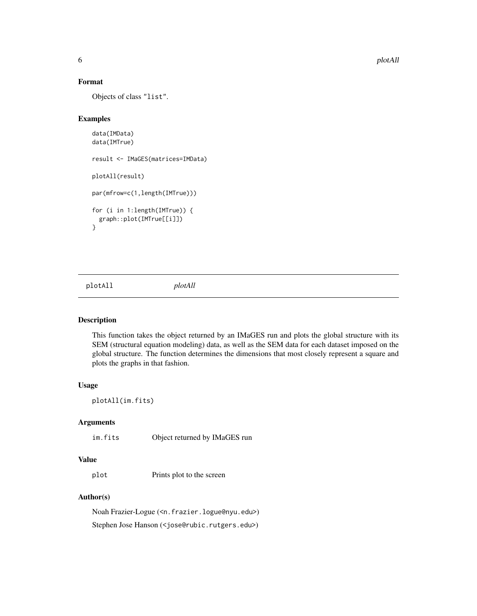#### Format

Objects of class "list".

#### Examples

```
data(IMData)
data(IMTrue)
result <- IMaGES(matrices=IMData)
plotAll(result)
par(mfrow=c(1,length(IMTrue)))
for (i in 1:length(IMTrue)) {
 graph::plot(IMTrue[[i]])
}
```
<span id="page-5-1"></span>plotAll *plotAll*

#### Description

This function takes the object returned by an IMaGES run and plots the global structure with its SEM (structural equation modeling) data, as well as the SEM data for each dataset imposed on the global structure. The function determines the dimensions that most closely represent a square and plots the graphs in that fashion.

#### Usage

plotAll(im.fits)

#### Arguments

im.fits Object returned by IMaGES run

#### Value

plot Prints plot to the screen

#### Author(s)

Noah Frazier-Logue (<n.frazier.logue@nyu.edu>) Stephen Jose Hanson (<jose@rubic.rutgers.edu>)

<span id="page-5-0"></span>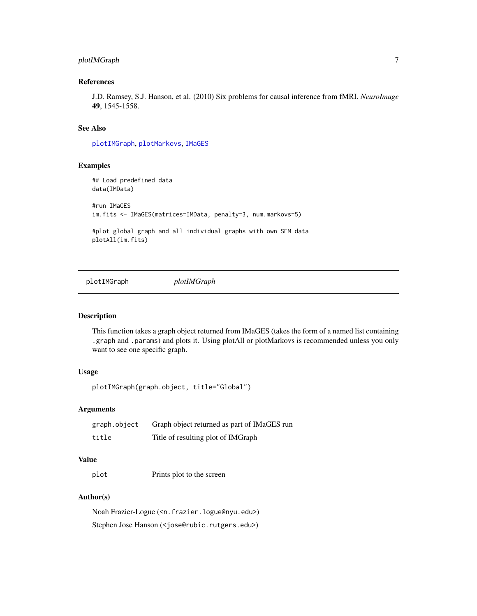#### <span id="page-6-0"></span>plotIMGraph 7

#### References

J.D. Ramsey, S.J. Hanson, et al. (2010) Six problems for causal inference from fMRI. *NeuroImage* 49, 1545-1558.

#### See Also

[plotIMGraph](#page-6-1), [plotMarkovs](#page-7-1), [IMaGES](#page-1-1)

#### Examples

```
## Load predefined data
data(IMData)
#run IMaGES
im.fits <- IMaGES(matrices=IMData, penalty=3, num.markovs=5)
#plot global graph and all individual graphs with own SEM data
plotAll(im.fits)
```
<span id="page-6-1"></span>plotIMGraph *plotIMGraph*

#### Description

This function takes a graph object returned from IMaGES (takes the form of a named list containing .graph and .params) and plots it. Using plotAll or plotMarkovs is recommended unless you only want to see one specific graph.

#### Usage

plotIMGraph(graph.object, title="Global")

#### Arguments

| graph.object | Graph object returned as part of IMaGES run |
|--------------|---------------------------------------------|
| title        | Title of resulting plot of IMGraph          |

#### Value

plot Prints plot to the screen

#### Author(s)

Noah Frazier-Logue (<n.frazier.logue@nyu.edu>) Stephen Jose Hanson (<jose@rubic.rutgers.edu>)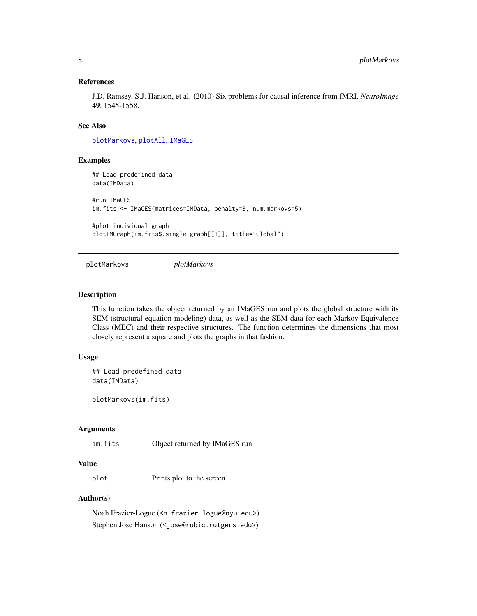#### <span id="page-7-0"></span>References

J.D. Ramsey, S.J. Hanson, et al. (2010) Six problems for causal inference from fMRI. *NeuroImage* 49, 1545-1558.

#### See Also

[plotMarkovs](#page-7-1), [plotAll](#page-5-1), [IMaGES](#page-1-1)

#### Examples

```
## Load predefined data
data(IMData)
#run IMaGES
im.fits <- IMaGES(matrices=IMData, penalty=3, num.markovs=5)
#plot individual graph
```
<span id="page-7-1"></span>plotMarkovs *plotMarkovs*

plotIMGraph(im.fits\$.single.graph[[1]], title="Global")

#### Description

This function takes the object returned by an IMaGES run and plots the global structure with its SEM (structural equation modeling) data, as well as the SEM data for each Markov Equivalence Class (MEC) and their respective structures. The function determines the dimensions that most closely represent a square and plots the graphs in that fashion.

#### Usage

## Load predefined data data(IMData)

plotMarkovs(im.fits)

#### Arguments

im.fits Object returned by IMaGES run

#### Value

plot Prints plot to the screen

#### Author(s)

Noah Frazier-Logue (<n.frazier.logue@nyu.edu>) Stephen Jose Hanson (<jose@rubic.rutgers.edu>)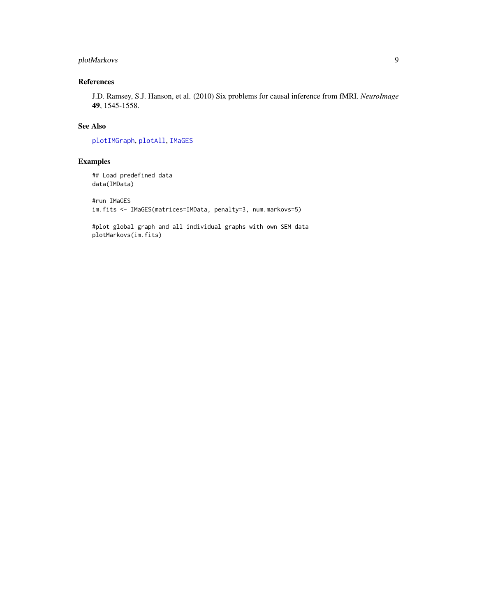#### <span id="page-8-0"></span>plotMarkovs 9

#### References

J.D. Ramsey, S.J. Hanson, et al. (2010) Six problems for causal inference from fMRI. *NeuroImage* 49, 1545-1558.

#### See Also

[plotIMGraph](#page-6-1), [plotAll](#page-5-1), [IMaGES](#page-1-1)

#### Examples

```
## Load predefined data
data(IMData)
```

```
#run IMaGES
im.fits <- IMaGES(matrices=IMData, penalty=3, num.markovs=5)
```
#plot global graph and all individual graphs with own SEM data plotMarkovs(im.fits)